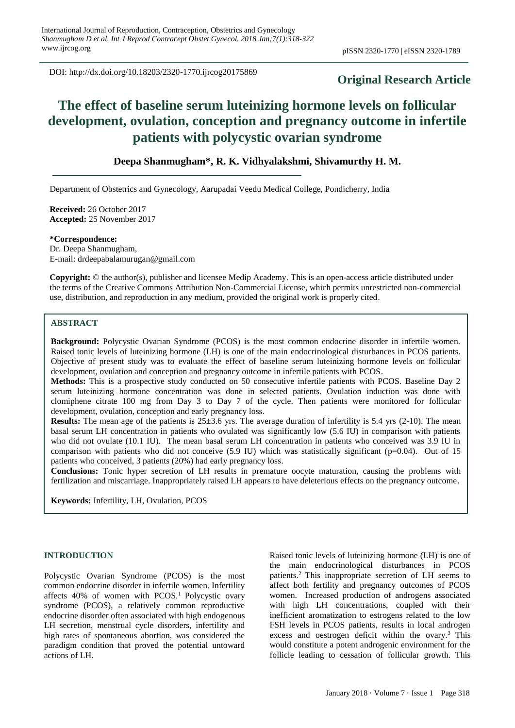DOI: http://dx.doi.org/10.18203/2320-1770.ijrcog20175869

## **Original Research Article**

# **The effect of baseline serum luteinizing hormone levels on follicular development, ovulation, conception and pregnancy outcome in infertile patients with polycystic ovarian syndrome**

## **Deepa Shanmugham\*, R. K. Vidhyalakshmi, Shivamurthy H. M.**

Department of Obstetrics and Gynecology, Aarupadai Veedu Medical College, Pondicherry, India

**Received:** 26 October 2017 **Accepted:** 25 November 2017

**\*Correspondence:** Dr. Deepa Shanmugham, E-mail: drdeepabalamurugan@gmail.com

**Copyright:** © the author(s), publisher and licensee Medip Academy. This is an open-access article distributed under the terms of the Creative Commons Attribution Non-Commercial License, which permits unrestricted non-commercial use, distribution, and reproduction in any medium, provided the original work is properly cited.

## **ABSTRACT**

**Background:** Polycystic Ovarian Syndrome (PCOS) is the most common endocrine disorder in infertile women. Raised tonic levels of luteinizing hormone (LH) is one of the main endocrinological disturbances in PCOS patients. Objective of present study was to evaluate the effect of baseline serum luteinizing hormone levels on follicular development, ovulation and conception and pregnancy outcome in infertile patients with PCOS.

**Methods:** This is a prospective study conducted on 50 consecutive infertile patients with PCOS. Baseline Day 2 serum luteinizing hormone concentration was done in selected patients. Ovulation induction was done with clomiphene citrate 100 mg from Day 3 to Day 7 of the cycle. Then patients were monitored for follicular development, ovulation, conception and early pregnancy loss.

**Results:** The mean age of the patients is  $25\pm3.6$  yrs. The average duration of infertility is  $5.4$  yrs (2-10). The mean basal serum LH concentration in patients who ovulated was significantly low (5.6 IU) in comparison with patients who did not ovulate (10.1 IU). The mean basal serum LH concentration in patients who conceived was 3.9 IU in comparison with patients who did not conceive  $(5.9 \text{ IU})$  which was statistically significant (p=0.04). Out of 15 patients who conceived, 3 patients (20%) had early pregnancy loss.

**Conclusions:** Tonic hyper secretion of LH results in premature oocyte maturation, causing the problems with fertilization and miscarriage. Inappropriately raised LH appears to have deleterious effects on the pregnancy outcome.

**Keywords:** Infertility, LH, Ovulation, PCOS

## **INTRODUCTION**

Polycystic Ovarian Syndrome (PCOS) is the most common endocrine disorder in infertile women. Infertility affects  $40\%$  of women with PCOS.<sup>1</sup> Polycystic ovary syndrome (PCOS), a relatively common reproductive endocrine disorder often associated with high endogenous LH secretion, menstrual cycle disorders, infertility and high rates of spontaneous abortion, was considered the paradigm condition that proved the potential untoward actions of LH.

Raised tonic levels of luteinizing hormone (LH) is one of the main endocrinological disturbances in PCOS patients.<sup>2</sup> This inappropriate secretion of LH seems to affect both fertility and pregnancy outcomes of PCOS women. Increased production of androgens associated with high LH concentrations, coupled with their inefficient aromatization to estrogens related to the low FSH levels in PCOS patients, results in local androgen excess and oestrogen deficit within the ovary. $3$  This would constitute a potent androgenic environment for the follicle leading to cessation of follicular growth. This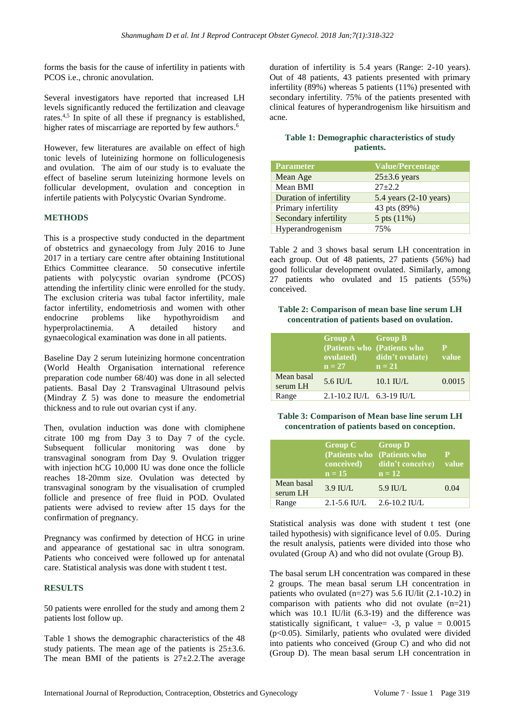forms the basis for the cause of infertility in patients with PCOS i.e., chronic anovulation.

Several investigators have reported that increased LH levels significantly reduced the fertilization and cleavage rates.4,5 In spite of all these if pregnancy is established, higher rates of miscarriage are reported by few authors.<sup>6</sup>

However, few literatures are available on effect of high tonic levels of luteinizing hormone on folliculogenesis and ovulation. The aim of our study is to evaluate the effect of baseline serum luteinizing hormone levels on follicular development, ovulation and conception in infertile patients with Polycystic Ovarian Syndrome.

## **METHODS**

This is a prospective study conducted in the department of obstetrics and gynaecology from July 2016 to June 2017 in a tertiary care centre after obtaining Institutional Ethics Committee clearance. 50 consecutive infertile patients with polycystic ovarian syndrome (PCOS) attending the infertility clinic were enrolled for the study. The exclusion criteria was tubal factor infertility, male factor infertility, endometriosis and women with other endocrine problems like hypothyroidism and hyperprolactinemia. A detailed history and gynaecological examination was done in all patients.

Baseline Day 2 serum luteinizing hormone concentration (World Health Organisation international reference preparation code number 68/40) was done in all selected patients. Basal Day 2 Transvaginal Ultrasound pelvis (Mindray Z 5) was done to measure the endometrial thickness and to rule out ovarian cyst if any.

Then, ovulation induction was done with clomiphene citrate 100 mg from Day 3 to Day 7 of the cycle. Subsequent follicular monitoring was done by transvaginal sonogram from Day 9. Ovulation trigger with injection hCG 10,000 IU was done once the follicle reaches 18-20mm size. Ovulation was detected by transvaginal sonogram by the visualisation of crumpled follicle and presence of free fluid in POD. Ovulated patients were advised to review after 15 days for the confirmation of pregnancy.

Pregnancy was confirmed by detection of HCG in urine and appearance of gestational sac in ultra sonogram. Patients who conceived were followed up for antenatal care. Statistical analysis was done with student t test.

## **RESULTS**

50 patients were enrolled for the study and among them 2 patients lost follow up.

Table 1 shows the demographic characteristics of the 48 study patients. The mean age of the patients is  $25\pm3.6$ . The mean BMI of the patients is  $27\pm2.2$ . The average duration of infertility is 5.4 years (Range: 2-10 years). Out of 48 patients, 43 patients presented with primary infertility (89%) whereas 5 patients (11%) presented with secondary infertility. 75% of the patients presented with clinical features of hyperandrogenism like hirsuitism and acne.

## **Table 1: Demographic characteristics of study patients.**

| <b>Parameter</b>        | <b>Value/Percentage</b>          |
|-------------------------|----------------------------------|
| Mean Age                | $25\pm3.6$ years                 |
| Mean BMI                | $27 + 2.2$                       |
| Duration of infertility | 5.4 years $(2-10 \text{ years})$ |
| Primary infertility     | 43 pts (89%)                     |
| Secondary infertility   | 5 pts (11%)                      |
| Hyperandrogenism        | 75%                              |

Table 2 and 3 shows basal serum LH concentration in each group. Out of 48 patients, 27 patients (56%) had good follicular development ovulated. Similarly, among 27 patients who ovulated and 15 patients (55%) conceived.

#### **Table 2: Comparison of mean base line serum LH concentration of patients based on ovulation.**

|                        | Group A Group B<br>ovulated)<br>$n = 27$ | (Patients who <i>(Patients who</i><br>didn't ovulate)<br>$n = 21$ | P<br>value |
|------------------------|------------------------------------------|-------------------------------------------------------------------|------------|
| Mean basal<br>serum LH | $5.6$ IU/L                               | $10.1$ IU/L                                                       | 0.0015     |
| Range                  | $2.1 - 10.2$ IU/L $6.3 - 19$ IU/L        |                                                                   |            |

#### **Table 3: Comparison of Mean base line serum LH concentration of patients based on conception.**

|                        | Group C Group D<br>conceived)<br>$n = 15$ | (Patients who (Patients who<br>didn't conceive) value<br>$n = 12$ | $\mathbf p$ |
|------------------------|-------------------------------------------|-------------------------------------------------------------------|-------------|
| Mean basal<br>serum LH | $3.9$ IU/L                                | $5.9$ IU/L                                                        | 0.04        |
| Range                  | $2.1 - 5.6$ IU/L                          | $2.6 - 10.2$ IU/L                                                 |             |

Statistical analysis was done with student t test (one tailed hypothesis) with significance level of 0.05. During the result analysis, patients were divided into those who ovulated (Group A) and who did not ovulate (Group B).

The basal serum LH concentration was compared in these 2 groups. The mean basal serum LH concentration in patients who ovulated  $(n=27)$  was 5.6 IU/lit  $(2.1-10.2)$  in comparison with patients who did not ovulate  $(n=21)$ which was 10.1 IU/lit (6.3-19) and the difference was statistically significant, t value=  $-3$ , p value =  $0.0015$  $(p<0.05)$ . Similarly, patients who ovulated were divided into patients who conceived (Group C) and who did not (Group D). The mean basal serum LH concentration in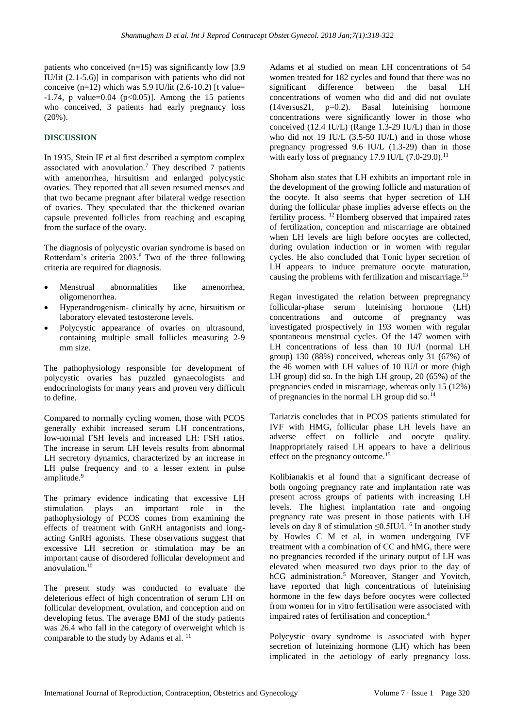patients who conceived  $(n=15)$  was significantly low [3.9] IU/lit (2.1-5.6)] in comparison with patients who did not conceive  $(n=12)$  which was 5.9 IU/lit (2.6-10.2) [t value=  $-1.74$ , p value=0.04 (p<0.05)]. Among the 15 patients who conceived, 3 patients had early pregnancy loss (20%).

## **DISCUSSION**

In 1935, Stein IF et al first described a symptom complex associated with anovulation.<sup>7</sup> They described 7 patients with amenorrhea, hirsuitism and enlarged polycystic ovaries. They reported that all seven resumed menses and that two became pregnant after bilateral wedge resection of ovaries. They speculated that the thickened ovarian capsule prevented follicles from reaching and escaping from the surface of the ovary.

The diagnosis of polycystic ovarian syndrome is based on Rotterdam's criteria 2003.<sup>8</sup> Two of the three following criteria are required for diagnosis.

- Menstrual abnormalities like amenorrhea, oligomenorrhea.
- Hyperandrogenism- clinically by acne, hirsuitism or laboratory elevated testosterone levels.
- Polycystic appearance of ovaries on ultrasound, containing multiple small follicles measuring 2-9 mm size.

The pathophysiology responsible for development of polycystic ovaries has puzzled gynaecologists and endocrinologists for many years and proven very difficult to define.

Compared to normally cycling women, those with PCOS generally exhibit increased serum LH concentrations, low-normal FSH levels and increased LH: FSH ratios. The increase in serum LH levels results from abnormal LH secretory dynamics, characterized by an increase in LH pulse frequency and to a lesser extent in pulse amplitude.<sup>9</sup>

The primary evidence indicating that excessive LH stimulation plays an important role in the pathophysiology of PCOS comes from examining the effects of treatment with GnRH antagonists and longacting GnRH agonists. These observations suggest that excessive LH secretion or stimulation may be an important cause of disordered follicular development and anovulation.<sup>10</sup>

The present study was conducted to evaluate the deleterious effect of high concentration of serum LH on follicular development, ovulation, and conception and on developing fetus. The average BMI of the study patients was 26.4 who fall in the category of overweight which is comparable to the study by Adams et al.<sup>11</sup>

Adams et al studied on mean LH concentrations of 54 women treated for 182 cycles and found that there was no significant difference between the basal LH concentrations of women who did and did not ovulate (14versus21, p=0.2). Basal luteinising hormone concentrations were significantly lower in those who conceived (12.4 IU/L) (Range 1.3-29 IU/L) than in those who did not 19 IU/L (3.5-50 IU/L) and in those whose pregnancy progressed 9.6 IU/L (1.3-29) than in those with early loss of pregnancy 17.9 IU/L  $(7.0-29.0)$ .<sup>11</sup>

Shoham also states that LH exhibits an important role in the development of the growing follicle and maturation of the oocyte. It also seems that hyper secretion of LH during the follicular phase implies adverse effects on the fertility process. <sup>12</sup> Homberg observed that impaired rates of fertilization, conception and miscarriage are obtained when LH levels are high before oocytes are collected, during ovulation induction or in women with regular cycles. He also concluded that Tonic hyper secretion of LH appears to induce premature oocyte maturation, causing the problems with fertilization and miscarriage.<sup>13</sup>

Regan investigated the relation between prepregnancy follicular-phase serum luteinising hormone (LH) concentrations and outcome of pregnancy was investigated prospectively in 193 women with regular spontaneous menstrual cycles. Of the 147 women with LH concentrations of less than 10 IU/l (normal LH group) 130 (88%) conceived, whereas only 31 (67%) of the 46 women with LH values of 10 IU/l or more (high LH group) did so. In the high LH group, 20 (65%) of the pregnancies ended in miscarriage, whereas only 15 (12%) of pregnancies in the normal LH group did so.<sup>14</sup>

Tariatzis concludes that in PCOS patients stimulated for IVF with HMG, follicular phase LH levels have an adverse effect on follicle and oocyte quality. Inappropriately raised LH appears to have a delirious effect on the pregnancy outcome.<sup>15</sup>

Kolibianakis et al found that a significant decrease of both ongoing pregnancy rate and implantation rate was present across groups of patients with increasing LH levels. The highest implantation rate and ongoing pregnancy rate was present in those patients with LH levels on day 8 of stimulation  $\leq 0.5$ IU/l.<sup>16</sup> In another study by Howles C M et al, in women undergoing IVF treatment with a combination of CC and hMG, there were no pregnancies recorded if the urinary output of LH was elevated when measured two days prior to the day of hCG administration. <sup>5</sup> Moreover, Stanger and Yovitch, have reported that high concentrations of luteinising hormone in the few days before oocytes were collected from women for in vitro fertilisation were associated with impaired rates of fertilisation and conception. 4

Polycystic ovary syndrome is associated with hyper secretion of luteinizing hormone (LH) which has been implicated in the aetiology of early pregnancy loss.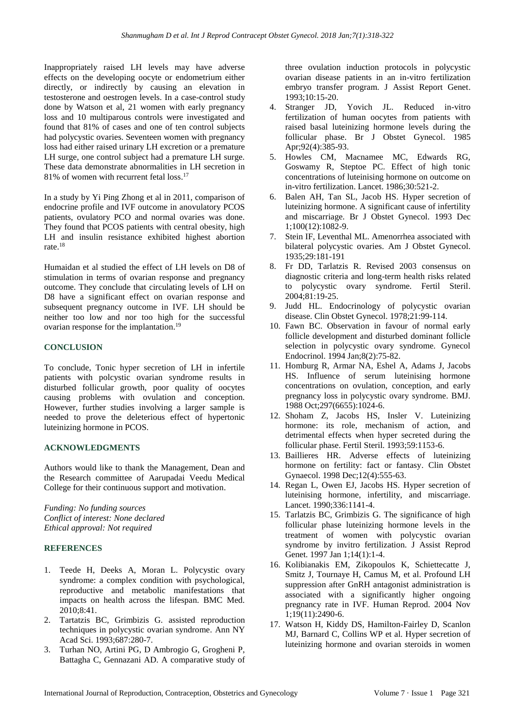Inappropriately raised LH levels may have adverse effects on the developing oocyte or endometrium either directly, or indirectly by causing an elevation in testosterone and oestrogen levels. In a case-control study done by Watson et al, 21 women with early pregnancy loss and 10 multiparous controls were investigated and found that 81% of cases and one of ten control subjects had polycystic ovaries. Seventeen women with pregnancy loss had either raised urinary LH excretion or a premature LH surge, one control subject had a premature LH surge. These data demonstrate abnormalities in LH secretion in 81% of women with recurrent fetal loss. 17

In a study by Yi Ping Zhong et al in 2011, comparison of endocrine profile and IVF outcome in anovulatory PCOS patients, ovulatory PCO and normal ovaries was done. They found that PCOS patients with central obesity, high LH and insulin resistance exhibited highest abortion rate. 18

Humaidan et al studied the effect of LH levels on D8 of stimulation in terms of ovarian response and pregnancy outcome. They conclude that circulating levels of LH on D8 have a significant effect on ovarian response and subsequent pregnancy outcome in IVF. LH should be neither too low and nor too high for the successful ovarian response for the implantation.<sup>19</sup>

#### **CONCLUSION**

To conclude, Tonic hyper secretion of LH in infertile patients with polcystic ovarian syndrome results in disturbed follicular growth, poor quality of oocytes causing problems with ovulation and conception. However, further studies involving a larger sample is needed to prove the deleterious effect of hypertonic luteinizing hormone in PCOS.

## **ACKNOWLEDGMENTS**

Authors would like to thank the Management, Dean and the Research committee of Aarupadai Veedu Medical College for their continuous support and motivation.

*Funding: No funding sources Conflict of interest: None declared Ethical approval: Not required*

## **REFERENCES**

- 1. Teede H, Deeks A, Moran L. Polycystic ovary syndrome: a complex condition with psychological, reproductive and metabolic manifestations that impacts on health across the lifespan. BMC Med. 2010;8:41.
- 2. Tartatzis BC, Grimbizis G. assisted reproduction techniques in polycystic ovarian syndrome. Ann NY Acad Sci. 1993;687:280-7.
- 3. Turhan NO, Artini PG, D Ambrogio G, Grogheni P, Battagha C, Gennazani AD. A comparative study of

three ovulation induction protocols in polycystic ovarian disease patients in an in-vitro fertilization embryo transfer program. J Assist Report Genet. 1993;10:15-20.

- 4. Stranger JD, Yovich JL. Reduced in-vitro fertilization of human oocytes from patients with raised basal luteinizing hormone levels during the follicular phase. Br J Obstet Gynecol. 1985 Apr;92(4):385-93.
- 5. Howles CM, Macnamee MC, Edwards RG, Goswamy R, Steptoe PC. Effect of high tonic concentrations of luteinising hormone on outcome on in-vitro fertilization. Lancet. 1986;30:521-2.
- 6. Balen AH, Tan SL, Jacob HS. Hyper secretion of luteinizing hormone. A significant cause of infertility and miscarriage. Br J Obstet Gynecol. 1993 Dec 1;100(12):1082-9.
- 7. Stein IF, Leventhal ML. Amenorrhea associated with bilateral polycystic ovaries. Am J Obstet Gynecol. 1935;29:181-191
- 8. Fr DD, Tarlatzis R. Revised 2003 consensus on diagnostic criteria and long-term health risks related to polycystic ovary syndrome. Fertil Steril. 2004;81:19-25.
- 9. Judd HL. Endocrinology of polycystic ovarian disease. Clin Obstet Gynecol. 1978;21:99-114.
- 10. Fawn BC. Observation in favour of normal early follicle development and disturbed dominant follicle selection in polycystic ovary syndrome. Gynecol Endocrinol. 1994 Jan;8(2):75-82.
- 11. Homburg R, Armar NA, Eshel A, Adams J, Jacobs HS. Influence of serum luteinising hormone concentrations on ovulation, conception, and early pregnancy loss in polycystic ovary syndrome. BMJ. 1988 Oct;297(6655):1024-6.
- 12. Shoham Z, Jacobs HS, Insler V. Luteinizing hormone: its role, mechanism of action, and detrimental effects when hyper secreted during the follicular phase. Fertil Steril. 1993;59:1153-6.
- 13. Baillieres HR. Adverse effects of luteinizing hormone on fertility: fact or fantasy. Clin Obstet Gynaecol. 1998 Dec;12(4):555-63.
- 14. Regan L, Owen EJ, Jacobs HS. Hyper secretion of luteinising hormone, infertility, and miscarriage. Lancet. 1990;336:1141-4.
- 15. Tarlatzis BC, Grimbizis G. The significance of high follicular phase luteinizing hormone levels in the treatment of women with polycystic ovarian syndrome by invitro fertilization. J Assist Reprod Genet. 1997 Jan 1;14(1):1-4.
- 16. Kolibianakis EM, Zikopoulos K, Schiettecatte J, Smitz J, Tournaye H, Camus M, et al. Profound LH suppression after GnRH antagonist administration is associated with a significantly higher ongoing pregnancy rate in IVF. Human Reprod. 2004 Nov 1;19(11):2490-6.
- 17. Watson H, Kiddy DS, Hamilton-Fairley D, Scanlon MJ, Barnard C, Collins WP et al. Hyper secretion of luteinizing hormone and ovarian steroids in women